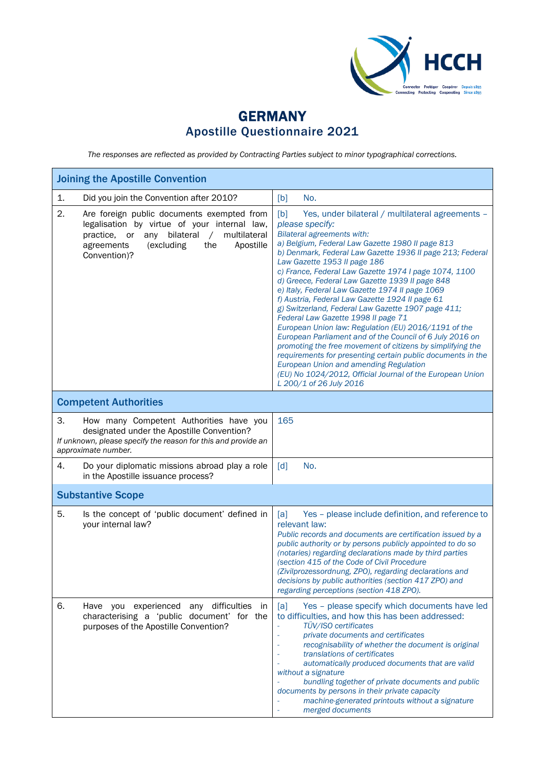

## GERMANY Apostille Questionnaire 2021

*The responses are reflected as provided by Contracting Parties subject to minor typographical corrections.*

| <b>Joining the Apostille Convention</b>                                                                                                                                                                                               |                                                                                                                                                                                                                                                                                                                                                                                                                                                                                                                                                                                                                                                                                                                                                                                                                                                                                                                                                                           |  |
|---------------------------------------------------------------------------------------------------------------------------------------------------------------------------------------------------------------------------------------|---------------------------------------------------------------------------------------------------------------------------------------------------------------------------------------------------------------------------------------------------------------------------------------------------------------------------------------------------------------------------------------------------------------------------------------------------------------------------------------------------------------------------------------------------------------------------------------------------------------------------------------------------------------------------------------------------------------------------------------------------------------------------------------------------------------------------------------------------------------------------------------------------------------------------------------------------------------------------|--|
| Did you join the Convention after 2010?<br>1.                                                                                                                                                                                         | No.<br>[b]                                                                                                                                                                                                                                                                                                                                                                                                                                                                                                                                                                                                                                                                                                                                                                                                                                                                                                                                                                |  |
| 2.<br>Are foreign public documents exempted from<br>legalisation by virtue of your internal law,<br>bilateral<br>multilateral<br>practice,<br>or<br>any<br>$\sqrt{2}$<br>agreements<br>(excluding<br>the<br>Apostille<br>Convention)? | Yes, under bilateral / multilateral agreements -<br>[b]<br>please specify:<br><b>Bilateral agreements with:</b><br>a) Belgium, Federal Law Gazette 1980 II page 813<br>b) Denmark, Federal Law Gazette 1936 II page 213; Federal<br>Law Gazette 1953 II page 186<br>c) France, Federal Law Gazette 1974 I page 1074, 1100<br>d) Greece, Federal Law Gazette 1939 II page 848<br>e) Italy, Federal Law Gazette 1974 Il page 1069<br>f) Austria, Federal Law Gazette 1924 Il page 61<br>g) Switzerland, Federal Law Gazette 1907 page 411;<br>Federal Law Gazette 1998 II page 71<br>European Union law: Regulation (EU) 2016/1191 of the<br>European Parliament and of the Council of 6 July 2016 on<br>promoting the free movement of citizens by simplifying the<br>requirements for presenting certain public documents in the<br><b>European Union and amending Regulation</b><br>(EU) No 1024/2012, Official Journal of the European Union<br>L 200/1 of 26 July 2016 |  |
| <b>Competent Authorities</b>                                                                                                                                                                                                          |                                                                                                                                                                                                                                                                                                                                                                                                                                                                                                                                                                                                                                                                                                                                                                                                                                                                                                                                                                           |  |
| З.<br>How many Competent Authorities have you<br>designated under the Apostille Convention?<br>If unknown, please specify the reason for this and provide an<br>approximate number.                                                   | 165                                                                                                                                                                                                                                                                                                                                                                                                                                                                                                                                                                                                                                                                                                                                                                                                                                                                                                                                                                       |  |
| 4.<br>Do your diplomatic missions abroad play a role<br>in the Apostille issuance process?                                                                                                                                            | No.<br>$\lceil d \rceil$                                                                                                                                                                                                                                                                                                                                                                                                                                                                                                                                                                                                                                                                                                                                                                                                                                                                                                                                                  |  |
| <b>Substantive Scope</b>                                                                                                                                                                                                              |                                                                                                                                                                                                                                                                                                                                                                                                                                                                                                                                                                                                                                                                                                                                                                                                                                                                                                                                                                           |  |
| 5.<br>Is the concept of 'public document' defined in<br>your internal law?                                                                                                                                                            | Yes - please include definition, and reference to<br>[a]<br>relevant law:<br>Public records and documents are certification issued by a<br>public authority or by persons publicly appointed to do so<br>(notaries) regarding declarations made by third parties<br>(section 415 of the Code of Civil Procedure<br>(Zivilprozessordnung, ZPO), regarding declarations and<br>decisions by public authorities (section 417 ZPO) and<br>regarding perceptions (section 418 ZPO).                                                                                                                                                                                                                                                                                                                                                                                                                                                                                            |  |
| 6.<br>Have you experienced any difficulties<br>in<br>characterising a 'public document' for the<br>purposes of the Apostille Convention?                                                                                              | Yes - please specify which documents have led<br>[a]<br>to difficulties, and how this has been addressed:<br>TÜV/ISO certificates<br>private documents and certificates<br>recognisability of whether the document is original<br>translations of certificates<br>automatically produced documents that are valid<br>without a signature<br>bundling together of private documents and public<br>documents by persons in their private capacity<br>machine-generated printouts without a signature<br>merged documents                                                                                                                                                                                                                                                                                                                                                                                                                                                    |  |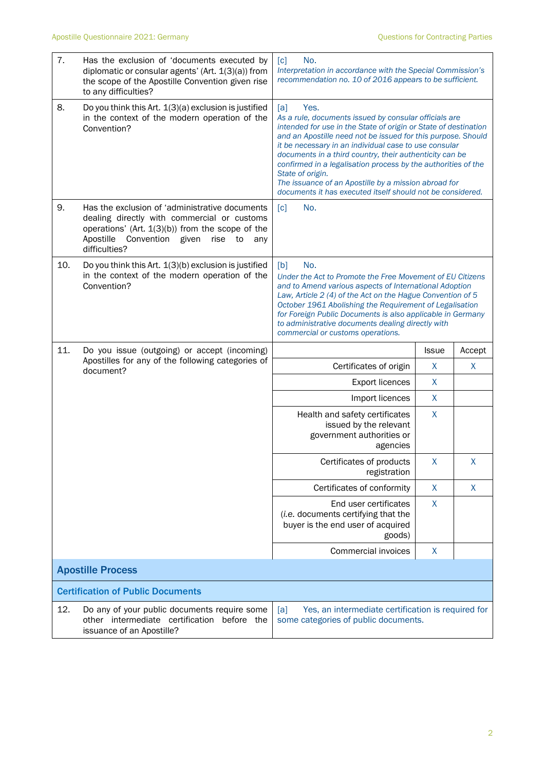| 7.                       | Has the exclusion of 'documents executed by<br>diplomatic or consular agents' (Art. 1(3)(a)) from<br>the scope of the Apostille Convention given rise<br>to any difficulties?                                               | No.<br>[c]<br>Interpretation in accordance with the Special Commission's<br>recommendation no. 10 of 2016 appears to be sufficient.                                                                                                                                                                                                                                                                                                                                                                                                    |              |        |
|--------------------------|-----------------------------------------------------------------------------------------------------------------------------------------------------------------------------------------------------------------------------|----------------------------------------------------------------------------------------------------------------------------------------------------------------------------------------------------------------------------------------------------------------------------------------------------------------------------------------------------------------------------------------------------------------------------------------------------------------------------------------------------------------------------------------|--------------|--------|
| 8.                       | Do you think this Art. 1(3)(a) exclusion is justified<br>in the context of the modern operation of the<br>Convention?                                                                                                       | [a]<br>Yes.<br>As a rule, documents issued by consular officials are<br>intended for use in the State of origin or State of destination<br>and an Apostille need not be issued for this purpose. Should<br>it be necessary in an individual case to use consular<br>documents in a third country, their authenticity can be<br>confirmed in a legalisation process by the authorities of the<br>State of origin.<br>The issuance of an Apostille by a mission abroad for<br>documents it has executed itself should not be considered. |              |        |
| 9.                       | Has the exclusion of 'administrative documents<br>dealing directly with commercial or customs<br>operations' (Art. 1(3)(b)) from the scope of the<br>Apostille<br>Convention<br>given<br>rise<br>to<br>any<br>difficulties? | No.<br>$\lceil c \rceil$                                                                                                                                                                                                                                                                                                                                                                                                                                                                                                               |              |        |
| 10.                      | Do you think this Art. 1(3)(b) exclusion is justified<br>in the context of the modern operation of the<br>Convention?                                                                                                       | [b]<br>No.<br>Under the Act to Promote the Free Movement of EU Citizens<br>and to Amend various aspects of International Adoption<br>Law, Article 2 (4) of the Act on the Hague Convention of 5<br>October 1961 Abolishing the Requirement of Legalisation<br>for Foreign Public Documents is also applicable in Germany<br>to administrative documents dealing directly with<br>commercial or customs operations.                                                                                                                     |              |        |
| 11.                      | Do you issue (outgoing) or accept (incoming)<br>Apostilles for any of the following categories of<br>document?                                                                                                              |                                                                                                                                                                                                                                                                                                                                                                                                                                                                                                                                        | <b>Issue</b> | Accept |
|                          |                                                                                                                                                                                                                             | Certificates of origin                                                                                                                                                                                                                                                                                                                                                                                                                                                                                                                 | X            | X      |
|                          |                                                                                                                                                                                                                             | <b>Export licences</b>                                                                                                                                                                                                                                                                                                                                                                                                                                                                                                                 | $\sf X$      |        |
|                          |                                                                                                                                                                                                                             | Import licences                                                                                                                                                                                                                                                                                                                                                                                                                                                                                                                        | X            |        |
|                          |                                                                                                                                                                                                                             | Health and safety certificates<br>issued by the relevant<br>government authorities or<br>agencies                                                                                                                                                                                                                                                                                                                                                                                                                                      | X            |        |
|                          |                                                                                                                                                                                                                             | Certificates of products<br>registration                                                                                                                                                                                                                                                                                                                                                                                                                                                                                               | Χ            | Χ      |
|                          |                                                                                                                                                                                                                             | Certificates of conformity                                                                                                                                                                                                                                                                                                                                                                                                                                                                                                             | X            | X      |
|                          |                                                                                                                                                                                                                             | End user certificates<br>(i.e. documents certifying that the<br>buyer is the end user of acquired<br>goods)                                                                                                                                                                                                                                                                                                                                                                                                                            | X            |        |
|                          |                                                                                                                                                                                                                             | Commercial invoices                                                                                                                                                                                                                                                                                                                                                                                                                                                                                                                    | X            |        |
| <b>Apostille Process</b> |                                                                                                                                                                                                                             |                                                                                                                                                                                                                                                                                                                                                                                                                                                                                                                                        |              |        |
|                          | <b>Certification of Public Documents</b>                                                                                                                                                                                    |                                                                                                                                                                                                                                                                                                                                                                                                                                                                                                                                        |              |        |
| 12.                      | Do any of your public documents require some<br>other intermediate certification before the<br>issuance of an Apostille?                                                                                                    | Yes, an intermediate certification is required for<br>[a]<br>some categories of public documents.                                                                                                                                                                                                                                                                                                                                                                                                                                      |              |        |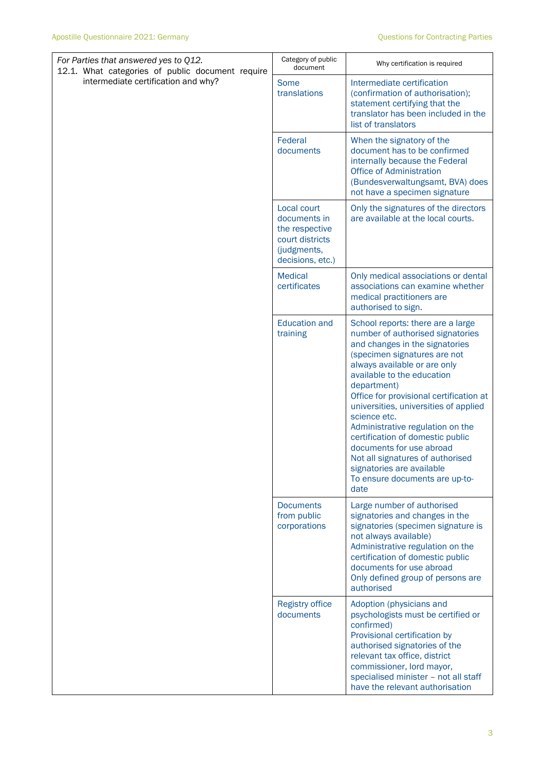| For Parties that answered yes to Q12.<br>12.1. What categories of public document require<br>intermediate certification and why? | Category of public<br>document                                                                      | Why certification is required                                                                                                                                                                                                                                                                                                                                                                                                                                                                                                           |
|----------------------------------------------------------------------------------------------------------------------------------|-----------------------------------------------------------------------------------------------------|-----------------------------------------------------------------------------------------------------------------------------------------------------------------------------------------------------------------------------------------------------------------------------------------------------------------------------------------------------------------------------------------------------------------------------------------------------------------------------------------------------------------------------------------|
|                                                                                                                                  | Some<br>translations                                                                                | Intermediate certification<br>(confirmation of authorisation);<br>statement certifying that the<br>translator has been included in the<br>list of translators                                                                                                                                                                                                                                                                                                                                                                           |
|                                                                                                                                  | Federal<br>documents                                                                                | When the signatory of the<br>document has to be confirmed<br>internally because the Federal<br><b>Office of Administration</b><br>(Bundesverwaltungsamt, BVA) does<br>not have a specimen signature                                                                                                                                                                                                                                                                                                                                     |
|                                                                                                                                  | Local court<br>documents in<br>the respective<br>court districts<br>(judgments,<br>decisions, etc.) | Only the signatures of the directors<br>are available at the local courts.                                                                                                                                                                                                                                                                                                                                                                                                                                                              |
|                                                                                                                                  | <b>Medical</b><br>certificates                                                                      | Only medical associations or dental<br>associations can examine whether<br>medical practitioners are<br>authorised to sign.                                                                                                                                                                                                                                                                                                                                                                                                             |
|                                                                                                                                  | <b>Education and</b><br>training                                                                    | School reports: there are a large<br>number of authorised signatories<br>and changes in the signatories<br>(specimen signatures are not<br>always available or are only<br>available to the education<br>department)<br>Office for provisional certification at<br>universities, universities of applied<br>science etc.<br>Administrative regulation on the<br>certification of domestic public<br>documents for use abroad<br>Not all signatures of authorised<br>signatories are available<br>To ensure documents are up-to-<br>date |
|                                                                                                                                  | <b>Documents</b><br>from public<br>corporations                                                     | Large number of authorised<br>signatories and changes in the<br>signatories (specimen signature is<br>not always available)<br>Administrative regulation on the<br>certification of domestic public<br>documents for use abroad<br>Only defined group of persons are<br>authorised                                                                                                                                                                                                                                                      |
|                                                                                                                                  | <b>Registry office</b><br>documents                                                                 | Adoption (physicians and<br>psychologists must be certified or<br>confirmed)<br>Provisional certification by<br>authorised signatories of the<br>relevant tax office, district<br>commissioner, lord mayor,<br>specialised minister - not all staff<br>have the relevant authorisation                                                                                                                                                                                                                                                  |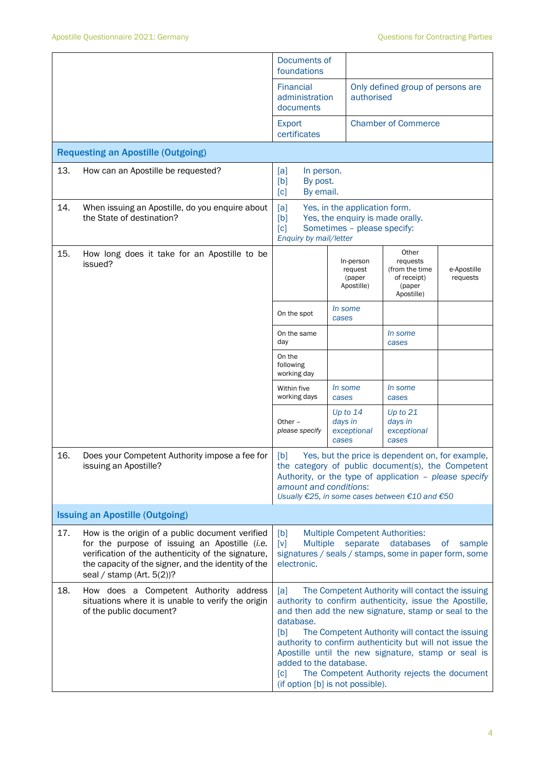|                                        |                                                                                                                                                                                                                                               | Documents of<br>foundations                                                                                                                                                                                                                                                                                                                                                                                                                                                                              |                  |                                              |                                                                            |                         |
|----------------------------------------|-----------------------------------------------------------------------------------------------------------------------------------------------------------------------------------------------------------------------------------------------|----------------------------------------------------------------------------------------------------------------------------------------------------------------------------------------------------------------------------------------------------------------------------------------------------------------------------------------------------------------------------------------------------------------------------------------------------------------------------------------------------------|------------------|----------------------------------------------|----------------------------------------------------------------------------|-------------------------|
|                                        |                                                                                                                                                                                                                                               | Financial<br>administration<br>documents                                                                                                                                                                                                                                                                                                                                                                                                                                                                 |                  |                                              | Only defined group of persons are<br>authorised                            |                         |
|                                        |                                                                                                                                                                                                                                               | <b>Export</b><br>certificates                                                                                                                                                                                                                                                                                                                                                                                                                                                                            |                  |                                              | <b>Chamber of Commerce</b>                                                 |                         |
|                                        | <b>Requesting an Apostille (Outgoing)</b>                                                                                                                                                                                                     |                                                                                                                                                                                                                                                                                                                                                                                                                                                                                                          |                  |                                              |                                                                            |                         |
| 13.                                    | How can an Apostille be requested?                                                                                                                                                                                                            | [a]<br>In person.<br>[b]<br>By post.<br>[c]<br>By email.                                                                                                                                                                                                                                                                                                                                                                                                                                                 |                  |                                              |                                                                            |                         |
| 14.                                    | When issuing an Apostille, do you enquire about<br>the State of destination?                                                                                                                                                                  | Yes, in the application form.<br>[a]<br>[b]<br>Yes, the enquiry is made orally.<br>[c]<br>Sometimes - please specify:<br>Enquiry by mail/letter                                                                                                                                                                                                                                                                                                                                                          |                  |                                              |                                                                            |                         |
| 15.                                    | How long does it take for an Apostille to be<br>issued?                                                                                                                                                                                       |                                                                                                                                                                                                                                                                                                                                                                                                                                                                                                          |                  | In-person<br>request<br>(paper<br>Apostille) | Other<br>requests<br>(from the time<br>of receipt)<br>(paper<br>Apostille) | e-Apostille<br>requests |
|                                        |                                                                                                                                                                                                                                               | On the spot                                                                                                                                                                                                                                                                                                                                                                                                                                                                                              | In some<br>cases |                                              |                                                                            |                         |
|                                        |                                                                                                                                                                                                                                               | On the same<br>day                                                                                                                                                                                                                                                                                                                                                                                                                                                                                       |                  |                                              | <i>In some</i><br>cases                                                    |                         |
|                                        |                                                                                                                                                                                                                                               | On the<br>following<br>working day                                                                                                                                                                                                                                                                                                                                                                                                                                                                       |                  |                                              |                                                                            |                         |
|                                        |                                                                                                                                                                                                                                               | Within five<br>working days                                                                                                                                                                                                                                                                                                                                                                                                                                                                              | In some<br>cases |                                              | In some<br>cases                                                           |                         |
|                                        |                                                                                                                                                                                                                                               | Other $-$<br>please specify                                                                                                                                                                                                                                                                                                                                                                                                                                                                              | days in<br>cases | Up to $14$<br>exceptional                    | Up to $21$<br>days in<br>exceptional<br>cases                              |                         |
| 16.                                    | Does your Competent Authority impose a fee for<br>issuing an Apostille?                                                                                                                                                                       | Yes, but the price is dependent on, for example,<br>[b]<br>the category of public document(s), the Competent<br>Authority, or the type of application - please specify<br>amount and conditions:<br>Usually €25, in some cases between €10 and €50                                                                                                                                                                                                                                                       |                  |                                              |                                                                            |                         |
| <b>Issuing an Apostille (Outgoing)</b> |                                                                                                                                                                                                                                               |                                                                                                                                                                                                                                                                                                                                                                                                                                                                                                          |                  |                                              |                                                                            |                         |
| 17.                                    | How is the origin of a public document verified<br>for the purpose of issuing an Apostille (i.e.<br>verification of the authenticity of the signature,<br>the capacity of the signer, and the identity of the<br>seal / stamp (Art. $5(2)$ )? | [b]<br><b>Multiple Competent Authorities:</b><br><b>Multiple</b><br>separate<br>databases<br>$\lceil v \rceil$<br><b>of</b><br>sample<br>signatures / seals / stamps, some in paper form, some<br>electronic.                                                                                                                                                                                                                                                                                            |                  |                                              |                                                                            |                         |
| 18.                                    | How does a Competent Authority address<br>situations where it is unable to verify the origin<br>of the public document?                                                                                                                       | The Competent Authority will contact the issuing<br>[a]<br>authority to confirm authenticity, issue the Apostille,<br>and then add the new signature, stamp or seal to the<br>database.<br>The Competent Authority will contact the issuing<br>[b]<br>authority to confirm authenticity but will not issue the<br>Apostille until the new signature, stamp or seal is<br>added to the database.<br>The Competent Authority rejects the document<br>$\lceil c \rceil$<br>(if option [b] is not possible). |                  |                                              |                                                                            |                         |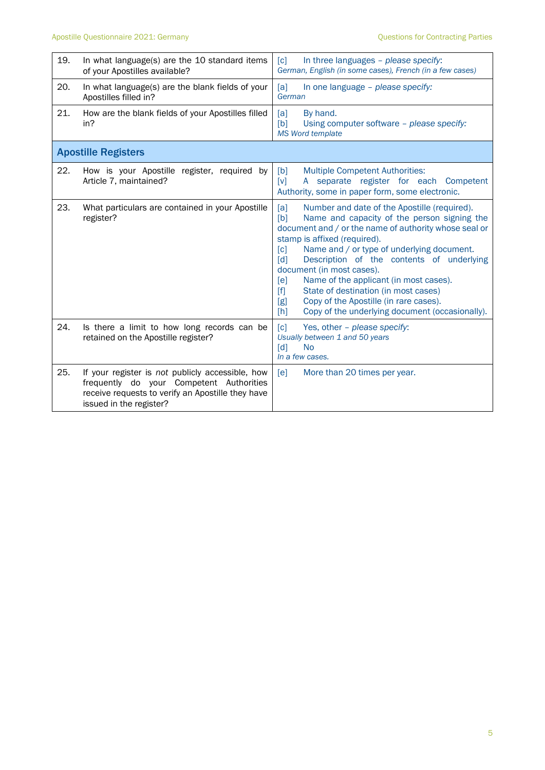| 19. | In what language(s) are the 10 standard items<br>of your Apostilles available?                                                                                               | In three languages - please specify:<br>$\lceil c \rceil$<br>German, English (in some cases), French (in a few cases)                                                                                                                                                                                                                                                                                                                                                                                                                                            |  |
|-----|------------------------------------------------------------------------------------------------------------------------------------------------------------------------------|------------------------------------------------------------------------------------------------------------------------------------------------------------------------------------------------------------------------------------------------------------------------------------------------------------------------------------------------------------------------------------------------------------------------------------------------------------------------------------------------------------------------------------------------------------------|--|
| 20. | In what language(s) are the blank fields of your<br>Apostilles filled in?                                                                                                    | [a]<br>In one language - please specify:<br>German                                                                                                                                                                                                                                                                                                                                                                                                                                                                                                               |  |
| 21. | How are the blank fields of your Apostilles filled<br>in?                                                                                                                    | [a]<br>By hand.<br>[b]<br>Using computer software - please specify:<br><b>MS Word template</b>                                                                                                                                                                                                                                                                                                                                                                                                                                                                   |  |
|     | <b>Apostille Registers</b>                                                                                                                                                   |                                                                                                                                                                                                                                                                                                                                                                                                                                                                                                                                                                  |  |
| 22. | How is your Apostille register, required by<br>Article 7, maintained?                                                                                                        | [b]<br><b>Multiple Competent Authorities:</b><br>A separate register for each Competent<br>[V]<br>Authority, some in paper form, some electronic.                                                                                                                                                                                                                                                                                                                                                                                                                |  |
| 23. | What particulars are contained in your Apostille<br>register?                                                                                                                | Number and date of the Apostille (required).<br>[a]<br>Name and capacity of the person signing the<br>[b]<br>document and / or the name of authority whose seal or<br>stamp is affixed (required).<br>Name and / or type of underlying document.<br>[c]<br>Description of the contents of underlying<br>[d]<br>document (in most cases).<br>Name of the applicant (in most cases).<br>[ <sub>e</sub> ]<br>State of destination (in most cases)<br>[f]<br>Copy of the Apostille (in rare cases).<br>[g]<br>Copy of the underlying document (occasionally).<br>[h] |  |
| 24. | Is there a limit to how long records can be<br>retained on the Apostille register?                                                                                           | [c]<br>Yes, other - please specify:<br>Usually between 1 and 50 years<br>$\lceil d \rceil$<br><b>No</b><br>In a few cases.                                                                                                                                                                                                                                                                                                                                                                                                                                       |  |
| 25. | If your register is not publicly accessible, how<br>frequently do your Competent Authorities<br>receive requests to verify an Apostille they have<br>issued in the register? | [ <b>e</b> ]<br>More than 20 times per year.                                                                                                                                                                                                                                                                                                                                                                                                                                                                                                                     |  |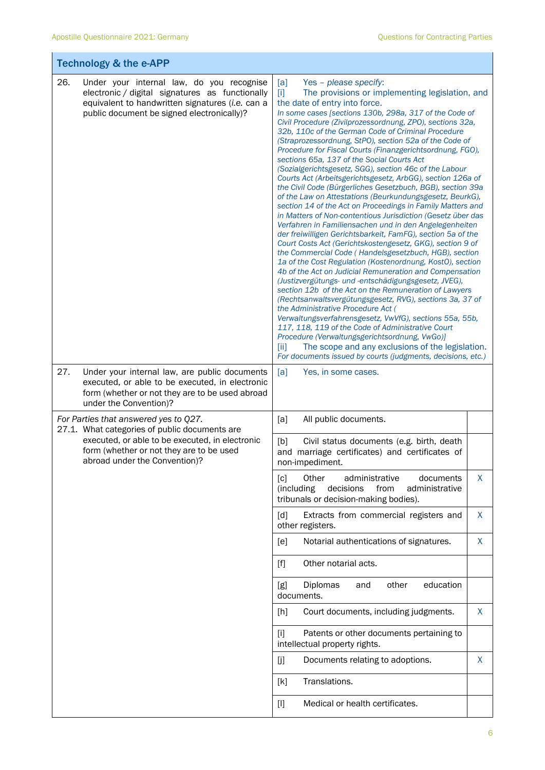| <b>Technology &amp; the e-APP</b>                                                                                                                                                                     |                                                                                                                                                                                                                                                                                                                                                                                                                                                                                                                                                                                                                                                                                                                                                                                                                                                                                                                                                                                                                                                                                                                                                                                                                                                                                                                                                                                                                                                                                                                                                                                                                                                                                                                                                  |  |  |
|-------------------------------------------------------------------------------------------------------------------------------------------------------------------------------------------------------|--------------------------------------------------------------------------------------------------------------------------------------------------------------------------------------------------------------------------------------------------------------------------------------------------------------------------------------------------------------------------------------------------------------------------------------------------------------------------------------------------------------------------------------------------------------------------------------------------------------------------------------------------------------------------------------------------------------------------------------------------------------------------------------------------------------------------------------------------------------------------------------------------------------------------------------------------------------------------------------------------------------------------------------------------------------------------------------------------------------------------------------------------------------------------------------------------------------------------------------------------------------------------------------------------------------------------------------------------------------------------------------------------------------------------------------------------------------------------------------------------------------------------------------------------------------------------------------------------------------------------------------------------------------------------------------------------------------------------------------------------|--|--|
| 26.<br>Under your internal law, do you recognise<br>electronic / digital signatures as functionally<br>equivalent to handwritten signatures (i.e. can a<br>public document be signed electronically)? | [a]<br>Yes - please specify:<br>$[1]$<br>The provisions or implementing legislation, and<br>the date of entry into force.<br>In some cases [sections 130b, 298a, 317 of the Code of<br>Civil Procedure (Zivilprozessordnung, ZPO), sections 32a,<br>32b, 110c of the German Code of Criminal Procedure<br>(Straprozessordnung, StPO), section 52a of the Code of<br>Procedure for Fiscal Courts (Finanzgerichtsordnung, FGO),<br>sections 65a, 137 of the Social Courts Act<br>(Sozialgerichtsgesetz, SGG), section 46c of the Labour<br>Courts Act (Arbeitsgerichtsgesetz, ArbGG), section 126a of<br>the Civil Code (Bürgerliches Gesetzbuch, BGB), section 39a<br>of the Law on Attestations (Beurkundungsgesetz, BeurkG),<br>section 14 of the Act on Proceedings in Family Matters and<br>in Matters of Non-contentious Jurisdiction (Gesetz über das<br>Verfahren in Familiensachen und in den Angelegenheiten<br>der freiwilligen Gerichtsbarkeit, FamFG), section 5a of the<br>Court Costs Act (Gerichtskostengesetz, GKG), section 9 of<br>the Commercial Code (Handelsgesetzbuch, HGB), section<br>1a of the Cost Regulation (Kostenordnung, KostO), section<br>4b of the Act on Judicial Remuneration and Compensation<br>(Justizvergütungs- und -entschädigungsgesetz, JVEG),<br>section 12b of the Act on the Remuneration of Lawyers<br>(Rechtsanwaltsvergütungsgesetz, RVG), sections 3a, 37 of<br>the Administrative Procedure Act (<br>Verwaltungsverfahrensgesetz, VwVfG), sections 55a, 55b,<br>117, 118, 119 of the Code of Administrative Court<br>Procedure (Verwaltungsgerichtsordnung, VwGo)]<br>The scope and any exclusions of the legislation.<br>[ii]<br>For documents issued by courts (judgments, decisions, etc.) |  |  |
| 27.<br>Under your internal law, are public documents<br>executed, or able to be executed, in electronic<br>form (whether or not they are to be used abroad<br>under the Convention)?                  | [a]<br>Yes, in some cases.                                                                                                                                                                                                                                                                                                                                                                                                                                                                                                                                                                                                                                                                                                                                                                                                                                                                                                                                                                                                                                                                                                                                                                                                                                                                                                                                                                                                                                                                                                                                                                                                                                                                                                                       |  |  |
| For Parties that answered yes to Q27.<br>27.1. What categories of public documents are                                                                                                                | [a]<br>All public documents.                                                                                                                                                                                                                                                                                                                                                                                                                                                                                                                                                                                                                                                                                                                                                                                                                                                                                                                                                                                                                                                                                                                                                                                                                                                                                                                                                                                                                                                                                                                                                                                                                                                                                                                     |  |  |
| executed, or able to be executed, in electronic<br>form (whether or not they are to be used<br>abroad under the Convention)?                                                                          | Civil status documents (e.g. birth, death<br>[b]<br>and marriage certificates) and certificates of<br>non-impediment.                                                                                                                                                                                                                                                                                                                                                                                                                                                                                                                                                                                                                                                                                                                                                                                                                                                                                                                                                                                                                                                                                                                                                                                                                                                                                                                                                                                                                                                                                                                                                                                                                            |  |  |
|                                                                                                                                                                                                       | X<br>Other<br>documents<br>$\lceil c \rceil$<br>administrative<br>(including<br>decisions<br>from<br>administrative<br>tribunals or decision-making bodies).                                                                                                                                                                                                                                                                                                                                                                                                                                                                                                                                                                                                                                                                                                                                                                                                                                                                                                                                                                                                                                                                                                                                                                                                                                                                                                                                                                                                                                                                                                                                                                                     |  |  |
|                                                                                                                                                                                                       | X<br>Extracts from commercial registers and<br>[d]<br>other registers.                                                                                                                                                                                                                                                                                                                                                                                                                                                                                                                                                                                                                                                                                                                                                                                                                                                                                                                                                                                                                                                                                                                                                                                                                                                                                                                                                                                                                                                                                                                                                                                                                                                                           |  |  |
|                                                                                                                                                                                                       | X<br>Notarial authentications of signatures.<br>[e]                                                                                                                                                                                                                                                                                                                                                                                                                                                                                                                                                                                                                                                                                                                                                                                                                                                                                                                                                                                                                                                                                                                                                                                                                                                                                                                                                                                                                                                                                                                                                                                                                                                                                              |  |  |
|                                                                                                                                                                                                       | Other notarial acts.<br>$[f]$                                                                                                                                                                                                                                                                                                                                                                                                                                                                                                                                                                                                                                                                                                                                                                                                                                                                                                                                                                                                                                                                                                                                                                                                                                                                                                                                                                                                                                                                                                                                                                                                                                                                                                                    |  |  |
|                                                                                                                                                                                                       | other<br>education<br>[g]<br>Diplomas<br>and<br>documents.                                                                                                                                                                                                                                                                                                                                                                                                                                                                                                                                                                                                                                                                                                                                                                                                                                                                                                                                                                                                                                                                                                                                                                                                                                                                                                                                                                                                                                                                                                                                                                                                                                                                                       |  |  |
|                                                                                                                                                                                                       | Court documents, including judgments.<br>X<br>[h]                                                                                                                                                                                                                                                                                                                                                                                                                                                                                                                                                                                                                                                                                                                                                                                                                                                                                                                                                                                                                                                                                                                                                                                                                                                                                                                                                                                                                                                                                                                                                                                                                                                                                                |  |  |
|                                                                                                                                                                                                       | Patents or other documents pertaining to<br>[i]<br>intellectual property rights.                                                                                                                                                                                                                                                                                                                                                                                                                                                                                                                                                                                                                                                                                                                                                                                                                                                                                                                                                                                                                                                                                                                                                                                                                                                                                                                                                                                                                                                                                                                                                                                                                                                                 |  |  |
|                                                                                                                                                                                                       | Documents relating to adoptions.<br>X<br>[j]                                                                                                                                                                                                                                                                                                                                                                                                                                                                                                                                                                                                                                                                                                                                                                                                                                                                                                                                                                                                                                                                                                                                                                                                                                                                                                                                                                                                                                                                                                                                                                                                                                                                                                     |  |  |
|                                                                                                                                                                                                       | Translations.<br>[k]                                                                                                                                                                                                                                                                                                                                                                                                                                                                                                                                                                                                                                                                                                                                                                                                                                                                                                                                                                                                                                                                                                                                                                                                                                                                                                                                                                                                                                                                                                                                                                                                                                                                                                                             |  |  |
|                                                                                                                                                                                                       | Medical or health certificates.<br>$[]$                                                                                                                                                                                                                                                                                                                                                                                                                                                                                                                                                                                                                                                                                                                                                                                                                                                                                                                                                                                                                                                                                                                                                                                                                                                                                                                                                                                                                                                                                                                                                                                                                                                                                                          |  |  |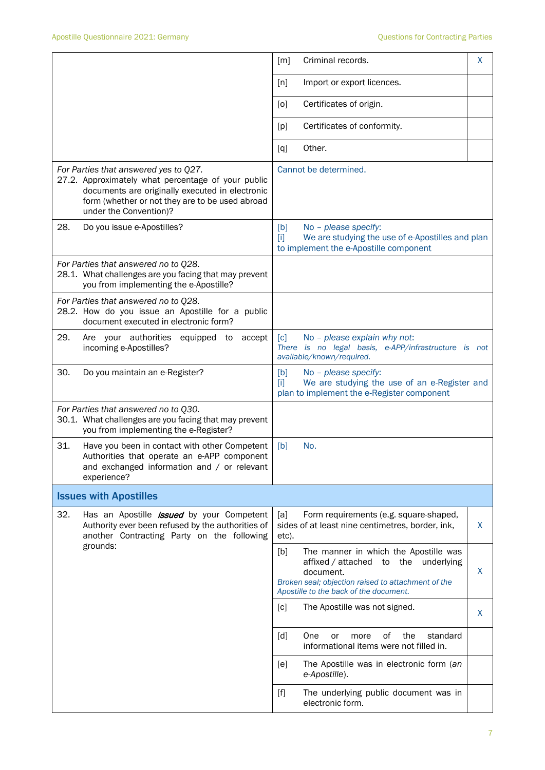|                                                                                                                                                                                                                             | X<br>[m]<br>Criminal records.                                                                                                                                                                                                                                 |  |  |  |
|-----------------------------------------------------------------------------------------------------------------------------------------------------------------------------------------------------------------------------|---------------------------------------------------------------------------------------------------------------------------------------------------------------------------------------------------------------------------------------------------------------|--|--|--|
|                                                                                                                                                                                                                             | [n]<br>Import or export licences.                                                                                                                                                                                                                             |  |  |  |
|                                                                                                                                                                                                                             | Certificates of origin.<br>[0]                                                                                                                                                                                                                                |  |  |  |
|                                                                                                                                                                                                                             | Certificates of conformity.<br>[p]                                                                                                                                                                                                                            |  |  |  |
|                                                                                                                                                                                                                             | Other.<br>[q]                                                                                                                                                                                                                                                 |  |  |  |
| For Parties that answered yes to Q27.<br>27.2. Approximately what percentage of your public<br>documents are originally executed in electronic<br>form (whether or not they are to be used abroad<br>under the Convention)? | Cannot be determined.                                                                                                                                                                                                                                         |  |  |  |
| 28.<br>Do you issue e-Apostilles?                                                                                                                                                                                           | No - please specify:<br>[b]<br>We are studying the use of e-Apostilles and plan<br>$[1]$<br>to implement the e-Apostille component                                                                                                                            |  |  |  |
| For Parties that answered no to Q28.<br>28.1. What challenges are you facing that may prevent<br>you from implementing the e-Apostille?                                                                                     |                                                                                                                                                                                                                                                               |  |  |  |
| For Parties that answered no to Q28.<br>28.2. How do you issue an Apostille for a public<br>document executed in electronic form?                                                                                           |                                                                                                                                                                                                                                                               |  |  |  |
| 29.<br>Are your authorities<br>equipped to<br>accept<br>incoming e-Apostilles?                                                                                                                                              | No - please explain why not:<br>[c]<br>There is no legal basis, e-APP/infrastructure is not<br>available/known/required.                                                                                                                                      |  |  |  |
| 30.<br>Do you maintain an e-Register?                                                                                                                                                                                       | [b]<br>No - please specify:<br>We are studying the use of an e-Register and<br>m<br>plan to implement the e-Register component                                                                                                                                |  |  |  |
| For Parties that answered no to Q30.<br>30.1. What challenges are you facing that may prevent<br>you from implementing the e-Register?                                                                                      |                                                                                                                                                                                                                                                               |  |  |  |
| 31.<br>Have you been in contact with other Competent<br>Authorities that operate an e-APP component<br>and exchanged information and / or relevant<br>experience?                                                           | [b]<br>No.                                                                                                                                                                                                                                                    |  |  |  |
| <b>Issues with Apostilles</b>                                                                                                                                                                                               |                                                                                                                                                                                                                                                               |  |  |  |
| 32.<br>Has an Apostille <i>issued</i> by your Competent<br>Authority ever been refused by the authorities of<br>another Contracting Party on the following                                                                  | [a]<br>Form requirements (e.g. square-shaped,<br>sides of at least nine centimetres, border, ink,<br>X<br>etc).                                                                                                                                               |  |  |  |
| grounds:                                                                                                                                                                                                                    | [b]<br>The manner in which the Apostille was<br>affixed / attached<br>the<br>underlying<br>to<br>X<br>document.<br>Broken seal; objection raised to attachment of the<br>Apostille to the back of the document.                                               |  |  |  |
|                                                                                                                                                                                                                             | The Apostille was not signed.<br>[c]<br>X                                                                                                                                                                                                                     |  |  |  |
|                                                                                                                                                                                                                             | [d]<br>One<br>0f<br>the<br>standard<br>more<br>or<br>informational items were not filled in.                                                                                                                                                                  |  |  |  |
|                                                                                                                                                                                                                             | The Apostille was in electronic form (an<br>[e]<br>e-Apostille).                                                                                                                                                                                              |  |  |  |
|                                                                                                                                                                                                                             | The underlying public document was in<br>$[f] % \begin{center} % \includegraphics[width=\linewidth]{imagesSupplemental_3.png} % \end{center} % \caption { % Our method can be used for the use of the image. % } % \label{fig:example} %$<br>electronic form. |  |  |  |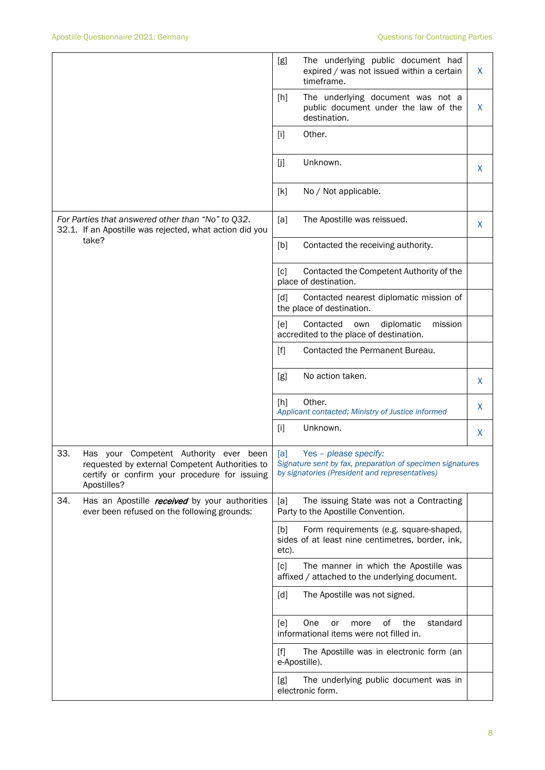|                                                                                                                                                                 | The underlying public document had<br>[g]<br>expired / was not issued within a certain<br>X<br>timeframe.                                   |
|-----------------------------------------------------------------------------------------------------------------------------------------------------------------|---------------------------------------------------------------------------------------------------------------------------------------------|
|                                                                                                                                                                 | The underlying document was not a<br>$[h]$<br>X<br>public document under the law of the<br>destination.                                     |
|                                                                                                                                                                 | Other.<br>$[1]$                                                                                                                             |
|                                                                                                                                                                 | [j]<br>Unknown.<br>X                                                                                                                        |
|                                                                                                                                                                 | [k]<br>No / Not applicable.                                                                                                                 |
| For Parties that answered other than "No" to Q32.<br>32.1. If an Apostille was rejected, what action did you                                                    | [a]<br>The Apostille was reissued.<br>X                                                                                                     |
| take?                                                                                                                                                           | [b]<br>Contacted the receiving authority.                                                                                                   |
|                                                                                                                                                                 | Contacted the Competent Authority of the<br>$\lceil c \rceil$<br>place of destination.                                                      |
|                                                                                                                                                                 | Contacted nearest diplomatic mission of<br>$\lceil d \rceil$<br>the place of destination.                                                   |
|                                                                                                                                                                 | Contacted<br>diplomatic<br>mission<br>[e]<br>own<br>accredited to the place of destination.                                                 |
|                                                                                                                                                                 | [f]<br>Contacted the Permanent Bureau.                                                                                                      |
|                                                                                                                                                                 | No action taken.<br>[g]<br>X                                                                                                                |
|                                                                                                                                                                 | Other.<br>[h]<br>X<br>Applicant contacted; Ministry of Justice informed                                                                     |
|                                                                                                                                                                 | Unknown.<br>$[1]$<br>X                                                                                                                      |
| 33.<br>Has your Competent Authority ever been<br>requested by external Competent Authorities to<br>certify or confirm your procedure for issuing<br>Apostilles? | Yes - please specify:<br>[a]<br>Signature sent by fax, preparation of specimen signatures<br>by signatories (President and representatives) |
| 34.<br>Has an Apostille received by your authorities<br>ever been refused on the following grounds:                                                             | [a]<br>The issuing State was not a Contracting<br>Party to the Apostille Convention.                                                        |
|                                                                                                                                                                 | Form requirements (e.g. square-shaped,<br>[b]<br>sides of at least nine centimetres, border, ink,<br>etc).                                  |
|                                                                                                                                                                 | The manner in which the Apostille was<br>[c]<br>affixed / attached to the underlying document.                                              |
|                                                                                                                                                                 | The Apostille was not signed.<br>[d]                                                                                                        |
|                                                                                                                                                                 | оf<br>standard<br>One<br>the<br>[e]<br>more<br>or<br>informational items were not filled in.                                                |
|                                                                                                                                                                 | The Apostille was in electronic form (an<br>$[f]$<br>e-Apostille).                                                                          |
|                                                                                                                                                                 | The underlying public document was in<br>[g]<br>electronic form.                                                                            |